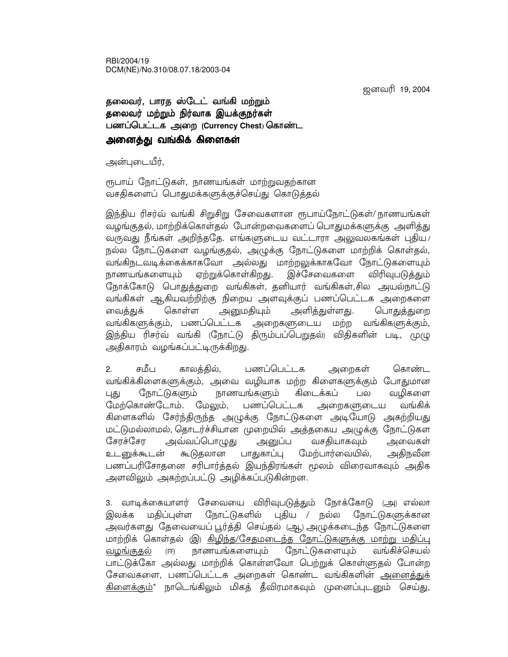RBI/2004/19 DCM(NE)/No.310/08.07.18/2003-04

ஜனவரி 19, 2004

## தலைவர், பாரத ஸ்டேட் வங்கி மற்றும் தலைவர் மற்றும் நிர்வாக இயக்குநர்கள் பணப்பெட்டக அறை (Currency Chest) கொண்ட அனைத்து வங்கிக் கிளைகள்

அன்புடையீர்,

ரூபாய் நோட்டுகள், நாணயங்கள் மாற்றுவதற்கான வசதிகளைப் பொதுமக்களுக்குச்செய்து கொடுத்தல்

இந்திய ரிசர்வ் வங்கி சிறுசிறு சேவைகளான ரூபாய்நோட்டுகள்/ நாணயங்கள் வழங்குதல், மாற்றிக்கொள்தல் போன்றவைகளைப் பொதுமக்களுக்கு அளித்து வருவது நீங்கள் அறிந்ததே. எங்களுடைய வட்டாரா அலுவலகங்கள் புகிய / நல்ல நோட்டுகளை வழங்குதல், அழுக்கு நோட்டுகளை மாற்றிக் கொள்தல், வங்கிநடவடிக்கைக்காகவோ அல்லது மாற்றலுக்காகவோ நோட்டுகளையும் ஏற்றுக்கொள்கிறது. இச்சேவைகளை நாணயங்களையும் விரிவுபடுக்தும் நோக்கோடு பொதுத்துறை வங்கிகள், தனியார் வங்கிகள்,சில அயல்நாட்டு வங்கிகள் ஆகியவற்றிற்கு நிறைய அளவுக்குப் பணப்பெட்டக அறைகளை கொள்ள அனுமதியும் அளித்துள்ளது. வைத்துக் பொதுத்துறை வங்கிகளுக்கும், பணப்பெட்டக அறைகளுடைய மற்ற வங்கிகளுக்கும், இந்திய ரிசர்வ் வங்கி (நோட்டு திரும்பப்பெறுதல்) விதிகளின் படி, முழு அதிகாரம் வழங்கப்பட்டிருக்கிறது.

ਸਾ ਹੈ। । காலத்தில், பணப்பெட்டக கொண்ட  $2.$ அறைகள் வங்கிக்கிளைகளுக்கும், அவை வழியாக மற்ற கிளைகளுக்கும் போதுமான நோட்டுகளும் நாணயங்களும் கிடைக்கப் வமிகளை பல புது மேற்கொண்டோம். மேலும், வங்கிக் பணப்பெட்டக அறைகளுடைய கிளைகளில் சேர்ந்திருந்த அழுக்கு நோட்டுகளை அடியோடு அகற்றியது மட்டுமல்லாமல், தொடர்ச்சியான முறையில் அத்தகைய அழுக்கு நோட்டுகள சேரச்சோ அவ்வப்பொழுது அனுப்ப வசதியாகவும் அவைகள் பாதுகாப்பு மேற்பார்வையில், அகிநவீன உடனுக்கூடன் கூடுதலான பணப்பரிசோதனை சரிபார்த்தல் இயந்திரங்கள் மூலம் விரைவாகவும் அதிக அளவிலும் அகற்றப்பட்டு அழிக்கப்படுகின்றன.

3. வாடிக்கையாளர் சேவையை விரிவுபடுத்தும் நோக்கோடு (அ) எல்லா இலக்க மதிப்புள்ள நோட்டுகளில் புதிய / நல்ல நோட்டுகளுக்கான அவர்களது தேவையைப் பூர்த்தி செய்தல் (ஆ) அழுக்கடைந்த நோட்டுகளை மாற்றிக் கொள்தல் (இ) <u>கிழிந்த/சேதமடைந்த நோட்டுகளுக்கு மாற்று மதிப்பு</u> நாணயங்களையும் நோட்டுகளையும் வங்கிச்செயல் வழங்குதல்  $(\overline{H})$ பாட்டுக்கோ அல்லது மாற்றிக் கொள்ளவோ பெற்றுக் கொள்ளுதல் போன்ற சேவைகளை, பணப்பெட்டக அறைகள் கொண்ட வங்கிகளின் அனைத்துக் <u>கிளைக்கும்</u>\* நாடெங்கிலும் மிகத் தீவிரமாகவும் முனைப்புடனும் செய்து,